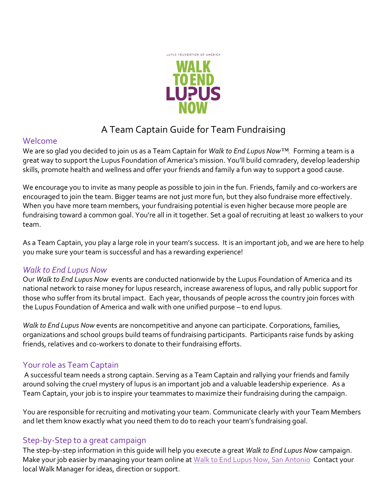

# A Team Captain Guide for Team Fundraising

#### Welcome

We are so glad you decided to join us as a Team Captain for *Walk to End Lupus Now™.* Forming a team is a great way to support the Lupus Foundation of America's mission. You'll build comradery, develop leadership skills, promote health and wellness and offer your friends and family a fun way to support a good cause.

We encourage you to invite as many people as possible to join in the fun. Friends, family and co-workers are encouraged to join the team. Bigger teams are not just more fun, but they also fundraise more effectively. When you have more team members, your fundraising potential is even higher because more people are fundraising toward a common goal. You're all in it together. Set a goal of recruiting at least 10 walkers to your team.

As a Team Captain, you play a large role in your team's success. It is an important job, and we are here to help you make sure your team is successful and has a rewarding experience!

### *Walk to End Lupus Now*

Our *Walk to End Lupus Now* events are conducted nationwide by the Lupus Foundation of America and its national network to raise money for lupus research, increase awareness of lupus, and rally public support for those who suffer from its brutal impact. Each year, thousands of people across the country join forces with the Lupus Foundation of America and walk with one unified purpose – to end lupus.

*Walk to End Lupus Now* events are noncompetitive and anyone can participate. Corporations, families, organizations and school groups build teams of fundraising participants. Participants raise funds by asking friends, relatives and co-workers to donate to their fundraising efforts.

### Your role as Team Captain

A successful team needs a strong captain. Serving as a Team Captain and rallying your friends and family around solving the cruel mystery of lupus is an important job and a valuable leadership experience. As a Team Captain, your job is to inspire your teammates to maximize their fundraising during the campaign.

You are responsible for recruiting and motivating your team. Communicate clearly with your Team Members and let them know exactly what you need them to do to reach your team's fundraising goal.

## Step-by-Step to a great campaign

The step-by-step information in this guide will help you execute a great *Walk to End Lupus Now* campaign. Make your job easier by managing your team online at [Walk to End Lupus Now, San Antonio](http://chapters.lupus.org/site/TR?fr_id=2121&pg=entry) Contact your local Walk Manager for ideas, direction or support.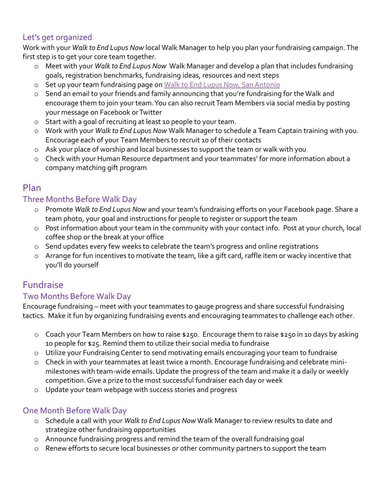## Let's get organized

Work with your *Walk to End Lupus Now* local Walk Manager to help you plan your fundraising campaign. The first step is to get your core team together.

- o Meet with your *Walk to End Lupus Now* Walk Manager and develop a plan that includes fundraising goals, registration benchmarks, fundraising ideas, resources and next steps
- o Set up your team fundraising page on [Walk to End Lupus Now, San Antonio](http://chapters.lupus.org/site/TR/WTELN/LFALoneStarChapter?pg=entry&fr_id=1890)
- o Send an email to your friends and family announcing that you're fundraising for the Walk and encourage them to join your team. You can also recruit Team Members via social media by posting your message on Facebook or Twitter
- o Start with a goal of recruiting at least 10 people to your team.
- o Work with your *Walk to End Lupus Now* Walk Manager to schedule a Team Captain training with you. Encourage each of your Team Members to recruit 10 of their contacts
- o Ask your place of worship and local businesses to support the team or walk with you
- o Check with your Human Resource department and your teammates' for more information about a company matching gift program

## Plan

## Three Months Before Walk Day

- o Promote *Walk to End Lupus Now* and your team's fundraising efforts on your Facebook page. Share a team photo, your goal and instructions for people to register or support the team
- o Post information about your team in the community with your contact info. Post at your church, local coffee shop or the break at your office
- o Send updates every few weeks to celebrate the team's progress and online registrations
- o Arrange for fun incentives to motivate the team, like a gift card, raffle item or wacky incentive that you'll do yourself

## Fundraise

## Two Months Before Walk Day

Encourage fundraising – meet with your teammates to gauge progress and share successful fundraising tactics. Make it fun by organizing fundraising events and encouraging teammates to challenge each other.

- o Coach your Team Members on how to raise \$250. Encourage them to raise \$250 in 10 days by asking 10 people for \$25. Remind them to utilize their social media to fundraise
- o Utilize your Fundraising Center to send motivating emails encouraging your team to fundraise
- o Check in with your teammates at least twice a month. Encourage fundraising and celebrate minimilestones with team-wide emails. Update the progress of the team and make it a daily or weekly competition. Give a prize to the most successful fundraiser each day or week
- o Update your team webpage with success stories and progress

## One Month Before Walk Day

- o Schedule a call with your *Walk to End Lupus Now* Walk Manager to review results to date and strategize other fundraising opportunities
- o Announce fundraising progress and remind the team of the overall fundraising goal
- o Renew efforts to secure local businesses or other community partners to support the team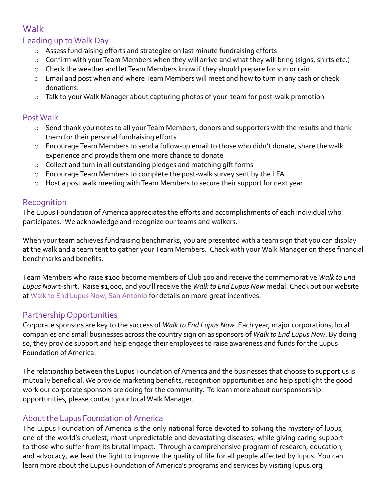## **Walk**

## Leading up to Walk Day

- o Assess fundraising efforts and strategize on last minute fundraising efforts
- o Confirm with your Team Members when they will arrive and what they will bring (signs, shirts etc.)
- o Check the weather and let Team Members know if they should prepare for sun or rain
- o Email and post when and where Team Members will meet and how to turn in any cash or check donations.
- o Talk to your Walk Manager about capturing photos of your team for post-walk promotion

#### Post Walk

- o Send thank you notes to all your Team Members, donors and supporters with the results and thank them for their personal fundraising efforts
- o Encourage Team Members to send a follow-up email to those who didn't donate, share the walk experience and provide them one more chance to donate
- o Collect and turn in all outstanding pledges and matching gift forms
- o Encourage Team Members to complete the post-walk survey sent by the LFA
- o Host a post walk meeting with Team Members to secure their support for next year

### Recognition

The Lupus Foundation of America appreciates the efforts and accomplishments of each individual who participates. We acknowledge and recognize our teams and walkers.

When your team achieves fundraising benchmarks, you are presented with a team sign that you can display at the walk and a team tent to gather your Team Members. Check with your Walk Manager on these financial benchmarks and benefits.

Team Members who raise \$100 become members of Club 100 and receive the commemorative *Walk to End Lupus Now* t-shirt. Raise \$1,000, and you'll receive the *Walk to End Lupus Now* medal. Check out our website at [Walk to End Lupus Now, San Antonio](http://chapters.lupus.org/site/TR?fr_id=2121&pg=entry) for details on more great incentives.

### Partnership Opportunities

Corporate sponsors are key to the success of *Walk to End Lupus Now.* Each year, major corporations, local companies and small businesses across the country sign on as sponsors of *Walk to End Lupus Now*. By doing so, they provide support and help engage their employees to raise awareness and funds for the Lupus Foundation of America.

The relationship between the Lupus Foundation of America and the businesses that choose to support us is mutually beneficial. We provide marketing benefits, recognition opportunities and help spotlight the good work our corporate sponsors are doing for the community. To learn more about our sponsorship opportunities, please contact your local Walk Manager.

### About the Lupus Foundation of America

The Lupus Foundation of America is the only national force devoted to solving the mystery of lupus, one of the world's cruelest, most unpredictable and devastating diseases, while giving caring support to those who suffer from its brutal impact. Through a comprehensive program of research, education, and advocacy, we lead the fight to improve the quality of life for all people affected by lupus. You can learn more about the Lupus Foundation of America's programs and services by visiting lupus.org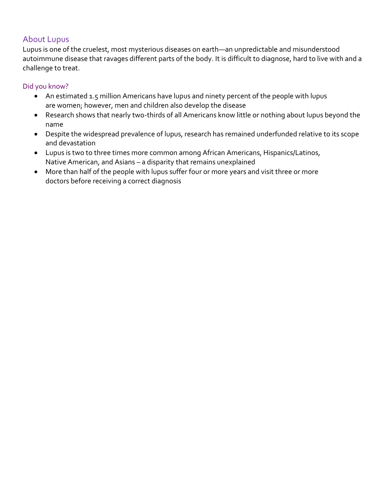## About Lupus

Lupus is one of the cruelest, most mysterious diseases on earth—an unpredictable and misunderstood autoimmune disease that ravages different parts of the body. It is difficult to diagnose, hard to live with and a challenge to treat.

#### Did you know?

- An estimated 1.5 million Americans have lupus and ninety percent of the people with lupus are women; however, men and children also develop the disease
- Research shows that nearly two-thirds of all Americans know little or nothing about lupus beyond the name
- Despite the widespread prevalence of lupus, research has remained underfunded relative to its scope and devastation
- Lupus is two to three times more common among African Americans, Hispanics/Latinos, Native American, and Asians – a disparity that remains unexplained
- More than half of the people with lupus suffer four or more years and visit three or more doctors before receiving a correct diagnosis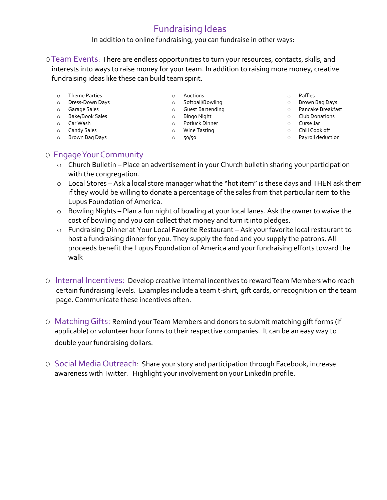## Fundraising Ideas

In addition to online fundraising, you can fundraise in other ways:

OTeam Events: There are endless opportunities to turn your resources, contacts, skills, and interests into ways to raise money for your team. In addition to raising more money, creative fundraising ideas like these can build team spirit.

- o Theme Parties
- o Dress-Down Days
- o Garage Sales
- o Bake/Book Sales
- o Car Wash
- o Candy Sales
- o Brown Bag Days
- o Auctions o Softball/Bowling
- o Guest Bartending
- o Bingo Night
- o Potluck Dinner
- o Wine Tasting
- o 50/50
- 
- o Raffles<br>o Brown Bag Days o Brown Bag Days
	- o Pancake Breakfast
	- o Club Donations
	- o Curse Jar
	- o Chili Cook off
- o Chili Cook off<br>o Payroll deduction

#### O Engage Your Community

- o Church Bulletin Place an advertisement in your Church bulletin sharing your participation with the congregation.
- o Local Stores Ask a local store manager what the "hot item" is these days and THEN ask them if they would be willing to donate a percentage of the sales from that particular item to the Lupus Foundation of America.
- o Bowling Nights Plan a fun night of bowling at your local lanes. Ask the owner to waive the cost of bowling and you can collect that money and turn it into pledges.
- o Fundraising Dinner at Your Local Favorite Restaurant Ask your favorite local restaurant to host a fundraising dinner for you. They supply the food and you supply the patrons. All proceeds benefit the Lupus Foundation of America and your fundraising efforts toward the walk
- O Internal Incentives: Develop creative internal incentives to reward Team Members who reach certain fundraising levels. Examples include a team t-shirt, gift cards, or recognition on the team page. Communicate these incentives often.
- O Matching Gifts: Remind your Team Members and donors to submit matching gift forms (if applicable) or volunteer hour forms to their respective companies. It can be an easy way to double your fundraising dollars.
- O Social Media Outreach: Share your story and participation through Facebook, increase awareness with Twitter. Highlight your involvement on your LinkedIn profile.